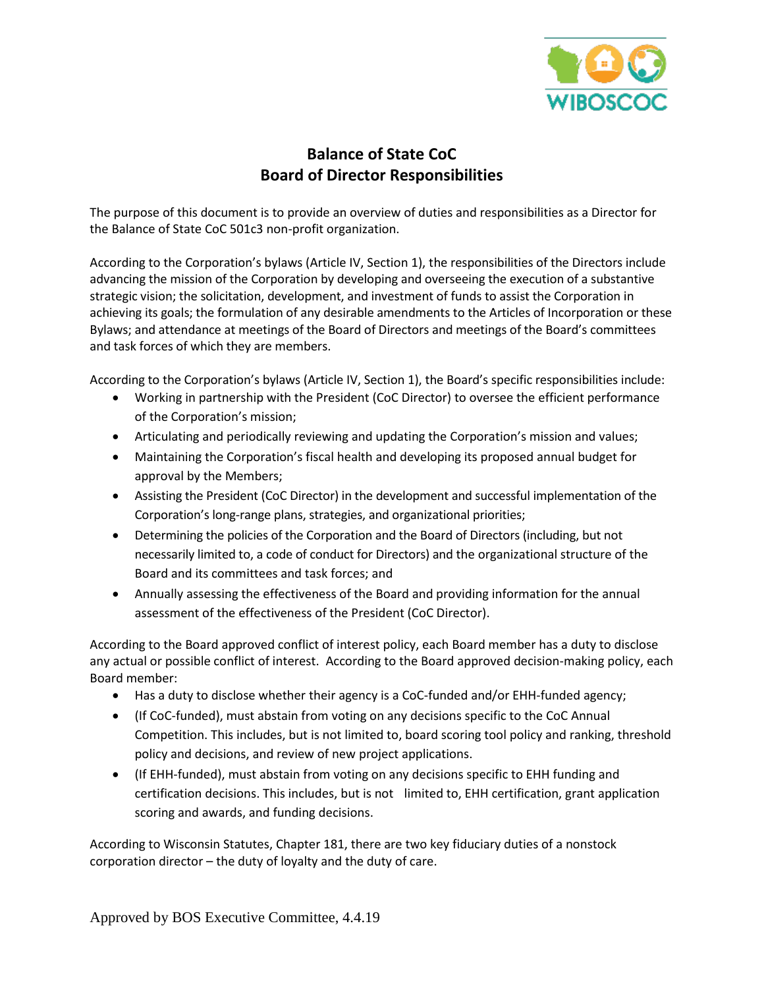

# **Balance of State CoC Board of Director Responsibilities**

The purpose of this document is to provide an overview of duties and responsibilities as a Director for the Balance of State CoC 501c3 non-profit organization.

According to the Corporation's bylaws (Article IV, Section 1), the responsibilities of the Directors include advancing the mission of the Corporation by developing and overseeing the execution of a substantive strategic vision; the solicitation, development, and investment of funds to assist the Corporation in achieving its goals; the formulation of any desirable amendments to the Articles of Incorporation or these Bylaws; and attendance at meetings of the Board of Directors and meetings of the Board's committees and task forces of which they are members.

According to the Corporation's bylaws (Article IV, Section 1), the Board's specific responsibilities include:

- Working in partnership with the President (CoC Director) to oversee the efficient performance of the Corporation's mission;
- Articulating and periodically reviewing and updating the Corporation's mission and values;
- Maintaining the Corporation's fiscal health and developing its proposed annual budget for approval by the Members;
- Assisting the President (CoC Director) in the development and successful implementation of the Corporation's long-range plans, strategies, and organizational priorities;
- Determining the policies of the Corporation and the Board of Directors (including, but not necessarily limited to, a code of conduct for Directors) and the organizational structure of the Board and its committees and task forces; and
- Annually assessing the effectiveness of the Board and providing information for the annual assessment of the effectiveness of the President (CoC Director).

According to the Board approved conflict of interest policy, each Board member has a duty to disclose any actual or possible conflict of interest. According to the Board approved decision-making policy, each Board member:

- Has a duty to disclose whether their agency is a CoC-funded and/or EHH-funded agency;
- (If CoC-funded), must abstain from voting on any decisions specific to the CoC Annual Competition. This includes, but is not limited to, board scoring tool policy and ranking, threshold policy and decisions, and review of new project applications.
- (If EHH-funded), must abstain from voting on any decisions specific to EHH funding and certification decisions. This includes, but is not limited to, EHH certification, grant application scoring and awards, and funding decisions.

According to Wisconsin Statutes, Chapter 181, there are two key fiduciary duties of a nonstock corporation director – the duty of loyalty and the duty of care.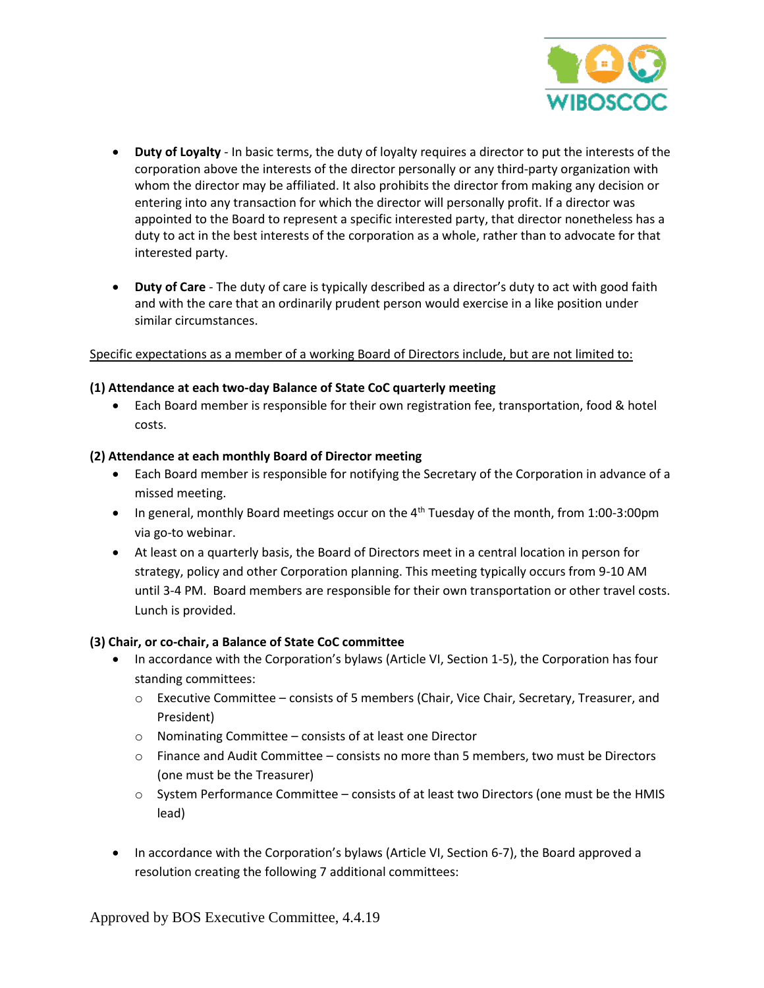

- **Duty of Loyalty** In basic terms, the duty of loyalty requires a director to put the interests of the corporation above the interests of the director personally or any third-party organization with whom the director may be affiliated. It also prohibits the director from making any decision or entering into any transaction for which the director will personally profit. If a director was appointed to the Board to represent a specific interested party, that director nonetheless has a duty to act in the best interests of the corporation as a whole, rather than to advocate for that interested party.
- **Duty of Care** The duty of care is typically described as a director's duty to act with good faith and with the care that an ordinarily prudent person would exercise in a like position under similar circumstances.

# Specific expectations as a member of a working Board of Directors include, but are not limited to:

#### **(1) Attendance at each two-day Balance of State CoC quarterly meeting**

 Each Board member is responsible for their own registration fee, transportation, food & hotel costs.

#### **(2) Attendance at each monthly Board of Director meeting**

- Each Board member is responsible for notifying the Secretary of the Corporation in advance of a missed meeting.
- In general, monthly Board meetings occur on the 4<sup>th</sup> Tuesday of the month, from 1:00-3:00pm via go-to webinar.
- At least on a quarterly basis, the Board of Directors meet in a central location in person for strategy, policy and other Corporation planning. This meeting typically occurs from 9-10 AM until 3-4 PM. Board members are responsible for their own transportation or other travel costs. Lunch is provided.

# **(3) Chair, or co-chair, a Balance of State CoC committee**

- In accordance with the Corporation's bylaws (Article VI, Section 1-5), the Corporation has four standing committees:
	- o Executive Committee consists of 5 members (Chair, Vice Chair, Secretary, Treasurer, and President)
	- o Nominating Committee consists of at least one Director
	- $\circ$  Finance and Audit Committee consists no more than 5 members, two must be Directors (one must be the Treasurer)
	- $\circ$  System Performance Committee consists of at least two Directors (one must be the HMIS lead)
- In accordance with the Corporation's bylaws (Article VI, Section 6-7), the Board approved a resolution creating the following 7 additional committees: